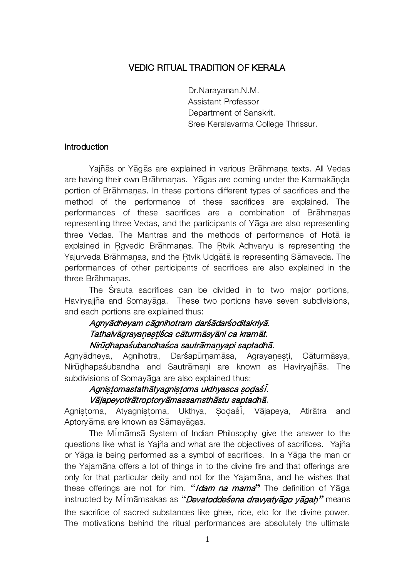## VEDIC RITUAL TRADITION OF KERALA

 Dr.Narayanan.N.M. Assistant Professor Department of Sanskrit. Sree Keralavarma College Thrissur.

#### **Introduction**

Yajñās or Yāgās are explained in various Brāhmana texts. All Vedas are having their own Brāhmanas. Yāgas are coming under the Karmakānda portion of Brāhmanas. In these portions different types of sacrifices and the method of the performance of these sacrifices are explained. The performances of these sacrifices are a combination of Brahmanas representing three Vedas, and the participants of Yaga are also representing three Vedas. The Mantras and the methods of performance of Hota is explained in Rgvedic Brahmanas. The Rtvik Adhvaryu is representing the Yajurveda Brāhmanas, and the Rtvik Udgātā is representing Sāmaveda. The performances of other participants of sacrifices are also explained in the three Brahmanas.

The árauta sacrifices can be divided in to two major portions, Haviryajiña and Somayaga. These two portions have seven subdivisions, and each portions are explained thus:

## Agnyādheyam cāgnihotram darśādarśoditakriyā. Tathaivāgrayanestiśca cāturmāsyāni ca kramāt. Nirūdhapaśubandhaśca sautrāmanyapi saptadhā.

Agnyādheya, Agnihotra, Darśapūrnamāsa, Agrayanesti, Cāturmāsya, Nirūdhapaśubandha and Sautrāmani are known as Haviryajñās. The subdivisions of Somayaga are also explained thus:

## Agnistomastathātyagnistoma ukthyasca sodaśi. Vājapeyotirātroptoryāmassamsthāstu saptadhā.

Agnistoma, Atyagnistoma, Ukthya, Sodaśi, Vājapeya, Atirātra and Aptoryāma are known as Sāmayāgas.

The Mimamsa System of Indian Philosophy give the answer to the questions like what is Yajña and what are the objectives of sacrifices. Yajña or Yaga is being performed as a symbol of sacrifices. In a Yaga the man or the Yajamana offers a lot of things in to the divine fire and that offerings are only for that particular deity and not for the Yajamana, and he wishes that these offerings are not for him. "*Idam na mama*" The definition of Yaga instructed by Mimamsakas as "*Devatoddeśena dravyatyago yagah*" means the sacrifice of sacred substances like ghee, rice, etc for the divine power. The motivations behind the ritual performances are absolutely the ultimate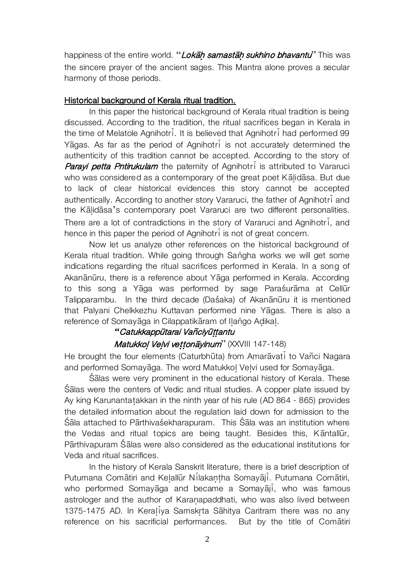happiness of the entire world. "Lokah samastah sukhino bhavantu" This was the sincere prayer of the ancient sages. This Mantra alone proves a secular harmony of those periods.

### Historical background of Kerala ritual tradition.

In this paper the historical background of Kerala ritual tradition is being discussed. According to the tradition, the ritual sacrifices began in Kerala in the time of Melatole Agnihotri. It is believed that Agnihotri had performed 99 Yaaas. As far as the period of Agnihotri is not accurately determined the authenticity of this tradition cannot be accepted. According to the story of Parayi petta Pntirukulam the paternity of Agnihotri is attributed to Vararuci who was considered as a contemporary of the great poet Kalidasa. But due to lack of clear historical evidences this story cannot be accepted authentically. According to another story Vararuci, the father of Agnihotri and the Kalidasa's contemporary poet Vararuci are two different personalities. There are a lot of contradictions in the story of Vararuci and Agnihotri, and hence in this paper the period of Agnihotri is not of great concern.

Now let us analyze other references on the historical background of Kerala ritual tradition. While going through Sangha works we will get some indications regarding the ritual sacrifices performed in Kerala. In a song of Akanānūru, there is a reference about Yāga performed in Kerala. According to this song a Yāga was performed by sage Parasurāma at Cellūr Talipparambu. In the third decade (Dasaka) of Akanānūru it is mentioned that Palyani Chelkkezhu Kuttavan performed nine Yāgas. There is also a reference of Somayaga in Cilappatikaram of Ilango Adikal.

# *"*Catukkapp£tarai Vaµciy£¶¶antu

## Matukkoļ Veļvi vettonāyinum" (XXVIII 147-148)

He brought the four elements (Caturbhūta) from Amaravati to Vañci Nagara and performed Somayaga. The word Matukkol Velvi used for Somayaga.

Salas were very prominent in the educational history of Kerala. These Salas were the centers of Vedic and ritual studies. A copper plate issued by Ay king Karunantatakkan in the ninth year of his rule (AD 864 - 865) provides the detailed information about the regulation laid down for admission to the Śāla attached to Pārthivaśekharapuram. This Śāla was an institution where the Vedas and ritual topics are being taught. Besides this, Kāntallūr, Pārthivapuram Śālas were also considered as the educational institutions for Veda and ritual sacrifices.

In the history of Kerala Sanskrit literature, there is a brief description of Putumana Comātiri and Kelallūr Nilakantha Somayāji. Putumana Comātiri, who performed Somayaga and became a Somayaji, who was famous astrologer and the author of Karanapaddhati, who was also lived between 1375-1475 AD. In Keraliya Samskrta Sāhitya Caritram there was no any reference on his sacrificial performances. But by the title of Comatiri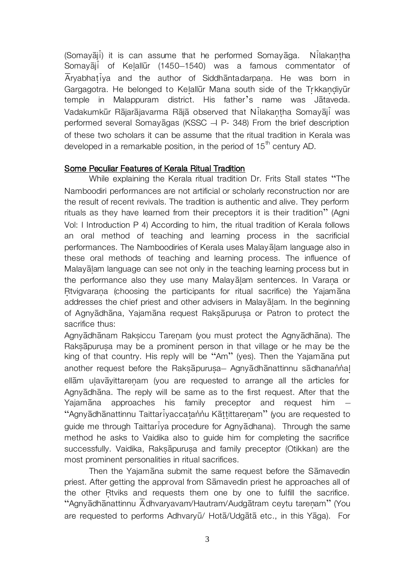(Somayaji) it is can assume that he performed Somayaga. Nilakantha Somayaji of Kelallūr (1450–1540) was a famous commentator of  $\overline{A}$ ryabhat $\overline{i}$ ya and the author of Siddh $\overline{a}$ ntadarpana. He was born in Gargagotra. He belonged to Kelallūr Mana south side of the Trkkandiyūr temple in Malappuram district. His father's name was Jātaveda. Vadakumkūr Rājarājavarma Rājā observed that Nilakantha Somayāji was performed several Somayagas (KSSC  $-$  P- 348) From the brief description of these two scholars it can be assume that the ritual tradition in Kerala was developed in a remarkable position, in the period of  $15<sup>th</sup>$  century AD.

#### Some Peculiar Features of Kerala Ritual Tradition

While explaining the Kerala ritual tradition Dr. Frits Stall states "The Namboodiri performances are not artificial or scholarly reconstruction nor are the result of recent revivals. The tradition is authentic and alive. They perform rituals as they have learned from their preceptors it is their tradition" (Agni Vol: I Introduction P 4) According to him, the ritual tradition of Kerala follows an oral method of teaching and learning process in the sacrificial performances. The Namboodiries of Kerala uses Malayalam language also in these oral methods of teaching and learning process. The influence of Malayalam language can see not only in the teaching learning process but in the performance also they use many Malayalam sentences. In Varana or Rtvigvarana (choosing the participants for ritual sacrifice) the Yajamana addresses the chief priest and other advisers in Malayalam. In the beginning of Agnyādhāna, Yajamāna request Raksāpurusa or Patron to protect the sacrifice thus:

Agnyādhānam Raksiccu Tarenam (you must protect the Agnyādhāna). The Raksapurusa may be a prominent person in that village or he may be the king of that country. His reply will be "Am" (yes). Then the Yajamana put another request before the Raksapurusa- Agnyadhanattinnu sadhanannal ellam ulavayittarenam (you are requested to arrange all the articles for Agnyādhāna. The reply will be same as to the first request. After that the Yajamana approaches his family preceptor and request him "Agnyādhānattinnu Taittariyaccatannu Kāttittarenam" (you are requested to guide me through Taittariya procedure for Agnyadhana). Through the same method he asks to Vaidika also to guide him for completing the sacrifice successfully. Vaidika, Raksapurusa and family preceptor (Otikkan) are the most prominent personalities in ritual sacrifices.

Then the Yajamana submit the same request before the Samavedin priest. After getting the approval from Samavedin priest he approaches all of the other Rtviks and requests them one by one to fulfill the sacrifice. "Agnyādhānattinnu Adhvaryavam/Hautram/Audgātram ceytu tarenam" (You are requested to performs Adhvaryū/ Hotā/Udgātā etc., in this Yāga). For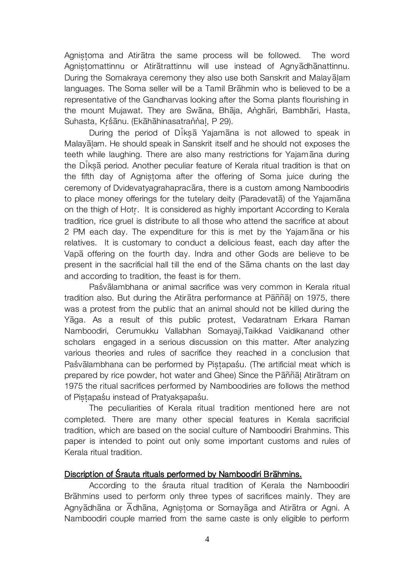Agnistoma and Atiratra the same process will be followed. The word Agnistomattinnu or Atirātrattinnu will use instead of Agnyādhānattinnu. During the Somakraya ceremony they also use both Sanskrit and Malayalam languages. The Soma seller will be a Tamil Brahmin who is believed to be a representative of the Gandharvas looking after the Soma plants flourishing in the mount Mujawat. They are Swāna, Bhāja, Anghāri, Bambhāri, Hasta, Suhasta, Krśānu. (Ekāhāhinasatrannal, P 29).

During the period of Diksa Yajamana is not allowed to speak in Malayalam. He should speak in Sanskrit itself and he should not exposes the teeth while laughing. There are also many restrictions for Yajam ana during the Diksa period. Another peculiar feature of Kerala ritual tradition is that on the fifth day of Agnistoma after the offering of Soma juice during the ceremony of Dvidevatyagrahapracara, there is a custom among Namboodiris to place money offerings for the tutelary deity (Paradevata) of the Yajamana on the thigh of Hotr. It is considered as highly important According to Kerala tradition, rice gruel is distribute to all those who attend the sacrifice at about 2 PM each day. The expenditure for this is met by the Yajamana or his relatives. It is customary to conduct a delicious feast, each day after the Vapa offering on the fourth day. Indra and other Gods are believe to be present in the sacrificial hall till the end of the Sama chants on the last day and according to tradition, the feast is for them.

Paśvālambhana or animal sacrifice was very common in Kerala ritual tradition also. But during the Atiratra performance at Paññal on 1975, there was a protest from the public that an animal should not be killed during the Yāga. As a result of this public protest, Vedaratnam Erkara Raman Namboodiri, Cerumukku Vallabhan Somayaji,Taikkad Vaidikanand other scholars engaged in a serious discussion on this matter. After analyzing various theories and rules of sacrifice they reached in a conclusion that Paśvālambhana can be performed by Pistapaśu. (The artificial meat which is prepared by rice powder, hot water and Ghee) Since the Paññal Atiratram on 1975 the ritual sacrifices performed by Namboodiries are follows the method of Pistapaśu instead of Pratyaksapaśu.

The peculiarities of Kerala ritual tradition mentioned here are not completed. There are many other special features in Kerala sacrificial tradition, which are based on the social culture of Namboodiri Brahmins. This paper is intended to point out only some important customs and rules of Kerala ritual tradition.

#### Discription of Śrauta rituals performed by Namboodiri Brāhmins.

According to the *srauta ritual tradition* of Kerala the Namboodiri Brāhmins used to perform only three types of sacrifices mainly. They are Agny $\bar{a}$ dhāna or  $\bar{A}$ dhāna, Agnistoma or Somayāga and Atirātra or Agni. A Namboodiri couple married from the same caste is only eligible to perform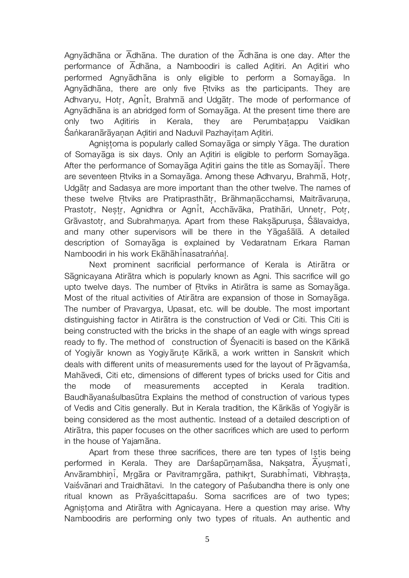Agny $\bar{a}$ dh $\bar{a}$ na or  $\bar{A}$ dh $\bar{a}$ na. The duration of the  $\bar{A}$ dh $\bar{a}$ na is one day. After the performance of  $\overline{A}$ dh $\overline{a}$ na, a Namboodiri is called Aditiri. An Aditiri who performed Agnyadhana is only eligible to perform a Somayaga. In Agnyādhāna, there are only five Rtviks as the participants. They are Adhvaryu, Hotr, Agnit, Brahma and Udgatr. The mode of performance of Agnyādhāna is an abridged form of Somayāga. At the present time there are only two Aditiris in Kerala, they are Perumbatappu Vaidikan Śankaranārāyanan Aditiri and Naduvil Pazhayitam Aditiri.

Agnistoma is popularly called Somayaga or simply Yaga. The duration of Somayaga is six days. Only an Aditiri is eligible to perform Somayaga. After the performance of Somayaga Aditiri gains the title as Somayaji. There are seventeen Rtviks in a Somayaga. Among these Adhvaryu, Brahma, Hotr, Udgatr and Sadasya are more important than the other twelve. The names of these twelve Rtviks are Pratiprasthātr, Brāhmanācchamsi, Maitrāvaruna, Prastotr, Nestr, Agnidhra or Agnit, Acchāvāka, Pratihāri, Unnetr, Potr, Grāvastotr, and Subrahmanya. Apart from these Raksāpurusa, Śālavaidya, and many other supervisors will be there in the Yagaśala. A detailed description of Somayaga is explained by Vedaratnam Erkara Raman Namboodiri in his work Ekāhāhinasatrannal.

Next prominent sacrificial performance of Kerala is Atiratra or Sāgnicayana Atirātra which is popularly known as Agni. This sacrifice will go upto twelve days. The number of Rtviks in Atiratra is same as Somayaga. Most of the ritual activities of Atiratra are expansion of those in Somayaga. The number of Pravargya, Upasat, etc. will be double. The most important distinguishing factor in Atiratra is the construction of Vedi or Citi. This Citi is being constructed with the bricks in the shape of an eagle with wings spread ready to fly. The method of construction of Śyenaciti is based on the Kārikā of Yogiyar known as Yogiyarute Karika, a work written in Sanskrit which deals with different units of measurements used for the layout of Pragvamsa, Mahavedi, Citi etc, dimensions of different types of bricks used for Citis and the mode of measurements accepted in Kerala tradition. Baudhayana sulbas utra Explains the method of construction of various types of Vedis and Citis generally. But in Kerala tradition, the Kārikās of Yogiyār is being considered as the most authentic. Instead of a detailed description of Atiratra, this paper focuses on the other sacrifices which are used to perform in the house of Yajamana.

Apart from these three sacrifices, there are ten types of Istis being performed in Kerala. They are Darsapūrnamāsa, Naksatra,  $\overline{A}$ yusmat $\overline{i}$ , Anvārambhini, Mrgāra or Pavitramrgāra, pathikrt, Surabhimati, Vibhrasta, Vaiśvānari and Traidhātavi. In the category of Paśubandha there is only one ritual known as Prāyaścittapaśu. Soma sacrifices are of two types; Agnistoma and Atiratra with Agnicayana. Here a question may arise. Why Namboodiris are performing only two types of rituals. An authentic and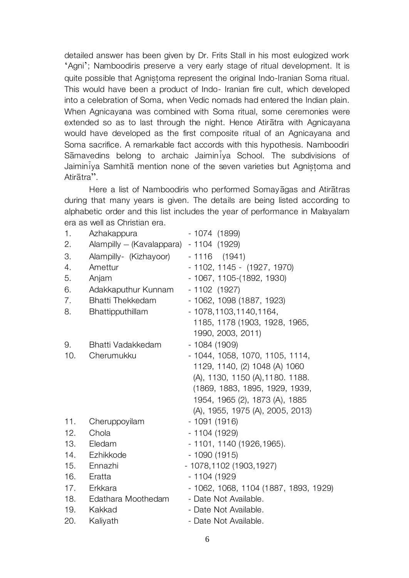detailed answer has been given by Dr. Frits Stall in his most eulogized work 'Agni'; Namboodiris preserve a very early stage of ritual development. It is quite possible that Agnistoma represent the original Indo-Iranian Soma ritual. This would have been a product of Indo- Iranian fire cult, which developed into a celebration of Soma, when Vedic nomads had entered the Indian plain. When Agnicayana was combined with Soma ritual, some ceremonies were extended so as to last through the night. Hence Atiratra with Agnicayana would have developed as the first composite ritual of an Agnicayana and Soma sacrifice. A remarkable fact accords with this hypothesis. Namboodiri Samavedins belong to archaic Jaimin va School. The subdivisions of Jaiminiya Samhita mention none of the seven varieties but Agnistoma and Atiratra".

Here a list of Namboodiris who performed Somayaqas and Atiratras during that many years is given. The details are being listed according to alphabetic order and this list includes the year of performance in Malayalam era as well as Christian era.

| 1.  | Azhakappura                             | $-1074(1899)$                         |
|-----|-----------------------------------------|---------------------------------------|
| 2.  | Alampilly - (Kavalappara) - 1104 (1929) |                                       |
| 3.  | Alampilly- (Kizhayoor)                  | $-1116$ (1941)                        |
| 4.  | Amettur                                 | $-1102, 1145 - (1927, 1970)$          |
| 5.  | Anjam                                   | - 1067, 1105-(1892, 1930)             |
| 6.  | Adakkaputhur Kunnam                     | $-1102$ (1927)                        |
| 7.  | <b>Bhatti Thekkedam</b>                 | - 1062, 1098 (1887, 1923)             |
| 8.  | Bhattipputhillam                        | $-1078, 1103, 1140, 1164,$            |
|     |                                         | 1185, 1178 (1903, 1928, 1965,         |
|     |                                         | 1990, 2003, 2011)                     |
| 9.  | Bhatti Vadakkedam                       | $-1084(1909)$                         |
| 10. | Cherumukku                              | - 1044, 1058, 1070, 1105, 1114,       |
|     |                                         | 1129, 1140, (2) 1048 (A) 1060         |
|     |                                         | (A), 1130, 1150 (A), 1180. 1188.      |
|     |                                         | (1869, 1883, 1895, 1929, 1939,        |
|     |                                         | 1954, 1965 (2), 1873 (A), 1885        |
|     |                                         | (A), 1955, 1975 (A), 2005, 2013)      |
| 11. | Cheruppoyilam                           | - 1091 (1916)                         |
| 12. | Chola                                   | $-1104(1929)$                         |
| 13. | Eledam                                  | - 1101, 1140 (1926, 1965).            |
| 14. | Ezhikkode                               | $-1090(1915)$                         |
|     | 15. Ennazhi                             | - 1078, 1102 (1903, 1927)             |
| 16. | Eratta                                  | - 1104 (1929                          |
| 17. | Erkkara                                 | - 1062, 1068, 1104 (1887, 1893, 1929) |
| 18. | Edathara Moothedam                      | - Date Not Available.                 |
| 19. | Kakkad                                  | - Date Not Available.                 |
| 20. | Kaliyath                                | - Date Not Available.                 |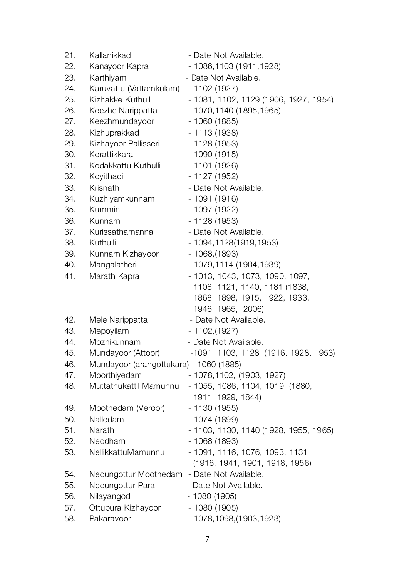| 21. | Kallanikkad                             | - Date Not Available.                 |
|-----|-----------------------------------------|---------------------------------------|
| 22. | Kanayoor Kapra                          | - 1086,1103 (1911,1928)               |
| 23. | Karthiyam                               | - Date Not Available.                 |
| 24. | Karuvattu (Vattamkulam)                 | - 1102 (1927)                         |
| 25. | Kizhakke Kuthulli                       | - 1081, 1102, 1129 (1906, 1927, 1954) |
| 26. | Keezhe Narippatta                       | - 1070,1140 (1895,1965)               |
| 27. | Keezhmundayoor                          | $-1060(1885)$                         |
| 28. | Kizhuprakkad                            | $-1113(1938)$                         |
| 29. | Kizhayoor Pallisseri                    | $-1128(1953)$                         |
| 30. | Korattikkara                            | $-1090(1915)$                         |
| 31. | Kodakkattu Kuthulli                     | $-1101(1926)$                         |
| 32. | Koyithadi                               | $-1127(1952)$                         |
| 33. | Krisnath                                | - Date Not Available.                 |
| 34. | Kuzhiyamkunnam                          | $-1091(1916)$                         |
| 35. | Kummini                                 | - 1097 (1922)                         |
| 36. | Kunnam                                  | $-1128(1953)$                         |
| 37. | Kurissathamanna                         | - Date Not Available.                 |
| 38. | Kuthulli                                | - 1094,1128(1919,1953)                |
| 39. | Kunnam Kizhayoor                        | $-1068(1893)$                         |
| 40. | Mangalatheri                            | - 1079,1114 (1904,1939)               |
| 41. | Marath Kapra                            | - 1013, 1043, 1073, 1090, 1097,       |
|     |                                         | 1108, 1121, 1140, 1181 (1838,         |
|     |                                         | 1868, 1898, 1915, 1922, 1933,         |
|     |                                         | 1946, 1965, 2006)                     |
| 42. | Mele Narippatta                         | - Date Not Available.                 |
| 43. | Mepoyilam                               | $-1102(1927)$                         |
| 44. | Mozhikunnam                             | - Date Not Available.                 |
| 45. | Mundayoor (Attoor)                      | -1091, 1103, 1128 (1916, 1928, 1953)  |
| 46. | Mundayoor (arangottukara) - 1060 (1885) |                                       |
| 47. | Moorthiyedam                            | - 1078,1102, (1903, 1927)             |
| 48. | Muttathukattil Mamunnu                  | - 1055, 1086, 1104, 1019 (1880,       |
|     |                                         | 1911, 1929, 1844)                     |
| 49. | Moothedam (Veroor)                      | - 1130 (1955)                         |
| 50. | Nalledam                                | $-1074(1899)$                         |
| 51. | Narath                                  | - 1103, 1130, 1140 (1928, 1955, 1965) |
| 52. | Neddham                                 | $-1068(1893)$                         |
| 53. | NellikkattuMamunnu                      | - 1091, 1116, 1076, 1093, 1131        |
|     |                                         | (1916, 1941, 1901, 1918, 1956)        |
| 54. | Nedungottur Moothedam                   | - Date Not Available.                 |
| 55. | Nedungottur Para                        | - Date Not Available.                 |
| 56. | Nilayangod                              | - 1080 (1905)                         |
| 57. | Ottupura Kizhayoor                      | $-1080(1905)$                         |
| 58. | Pakaravoor                              | - 1078, 1098, (1903, 1923)            |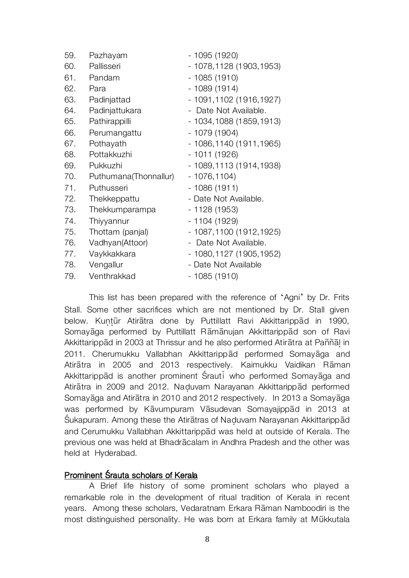| 59. | Pazhayam              | - 1095 (1920)             |
|-----|-----------------------|---------------------------|
| 60. | Pallisseri            | - 1078,1128 (1903,1953)   |
| 61. | Pandam                | $-1085(1910)$             |
| 62. | Para                  | $-1089(1914)$             |
| 63. | Padinjattad           | - 1091, 1102 (1916, 1927) |
| 64. | Padinjattukara        | - Date Not Available.     |
| 65. | Pathirappilli         | - 1034,1088 (1859,1913)   |
| 66. | Perumangattu          | - 1079 (1904)             |
| 67. | Pothayath             | - 1086, 1140 (1911, 1965) |
| 68. | Pottakkuzhi           | $-1011(1926)$             |
| 69. | Pukkuzhi              | - 1089,1113 (1914,1938)   |
| 70. | Puthumana(Thonnallur) | $-1076, 1104)$            |
| 71. | Puthusseri            | $-1086(1911)$             |
| 72. | Thekkeppattu          | - Date Not Available.     |
| 73. | Thekkumparampa        | - 1128 (1953)             |
| 74. | Thiyyannur            | - 1104 (1929)             |
| 75. | Thottam (panjal)      | - 1087,1100 (1912,1925)   |
| 76. | Vadhyan(Attoor)       | - Date Not Available.     |
| 77. | Vaykkakkara           | - 1080, 1127 (1905, 1952) |
| 78. | Vengallur             | - Date Not Available      |
| 79. | Venthrakkad           | - 1085 (1910)             |
|     |                       |                           |

This list has been prepared with the reference of 'Agni' by Dr. Frits Stall. Some other sacrifices which are not mentioned by Dr. Stall given below. Kuntūr Atirātra done by Puttillatt Ravi Akkittarippād in 1990, Somayaga performed by Puttillatt Ramanujan Akkittarippad son of Ravi Akkittarippād in 2003 at Thrissur and he also performed Atirātra at Paññāl in 2011. Cherumukku Vallabhan Akkittaripp ad performed Somayaga and Atirātra in 2005 and 2013 respectively. Kaimukku Vaidikan Rāman Akkittarippad is another prominent Śrauti who performed Somayaga and Atirātra in 2009 and 2012. Naduvam Narayanan Akkittarippād performed Somayaga and Atiratra in 2010 and 2012 respectively. In 2013 a Somayaga was performed by Kāvumpuram Vāsudevan Somayajippād in 2013 at Śukapuram. Among these the Atiratras of Naduvam Narayanan Akkittaripp ad and Cerumukku Vallabhan Akkittarippad was held at outside of Kerala. The previous one was held at Bhadracalam in Andhra Pradesh and the other was held at Hyderabad.

#### Prominent Śrauta scholars of Kerala

A Brief life history of some prominent scholars who played a remarkable role in the development of ritual tradition of Kerala in recent years. Among these scholars, Vedaratnam Erkara Rāman Namboodiri is the most distinguished personality. He was born at Erkara family at Mūkkutala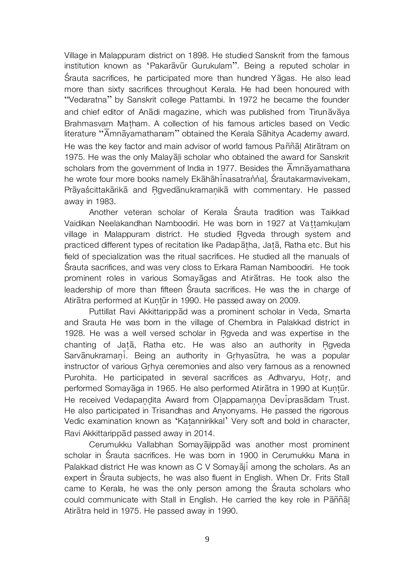Village in Malappuram district on 1898. He studied Sanskrit from the famous institution known as 'Pakarāvūr Gurukulam". Being a reputed scholar in Śrauta sacrifices, he participated more than hundred Yāgas. He also lead more than sixty sacrifices throughout Kerala. He had been honoured with "Vedaratna" by Sanskrit college Pattambi. In 1972 he became the founder and chief editor of Anadi magazine, which was published from Tirunavaya Brahmasvam Matham. A collection of his famous articles based on Vedic literature " $\overline{A}$ mn $\overline{a}$ yamathanam" obtained the Kerala S $\overline{a}$ hitya Academy award. He was the key factor and main advisor of world famous Paññal Atiratram on 1975. He was the only Malayali scholar who obtained the award for Sanskrit scholars from the government of India in 1977. Besides the  $\overline{A}$ mn $\overline{A}$ yamathana he wrote four more books namely Ekāhāhinasatrannal, Śrautakarmavivekam, Prāyaścittakārikā and Rgvedānukramanikā with commentary. He passed away in 1983.

Another veteran scholar of Kerala árauta tradition was Taikkad Vaidikan Neelakandhan Namboodiri. He was born in 1927 at Vattamkulam village in Malappuram district. He studied Rgveda through system and practiced different types of recitation like Padapatha, Jata, Ratha etc. But his field of specialization was the ritual sacrifices. He studied all the manuals of árauta sacrifices, and was very closs to Erkara Raman Namboodiri. He took prominent roles in various Somayagas and Atiratras. He took also the leadership of more than fifteen Srauta sacrifices. He was the in charge of Atirātra performed at Kuntūr in 1990. He passed away on 2009.

Puttillat Ravi Akkittarippād was a prominent scholar in Veda, Smarta and Srauta He was born in the village of Chembra in Palakkad district in 1928. He was a well versed scholar in Rgveda and was expertise in the chanting of Jata, Ratha etc. He was also an authority in Rgyeda Sarvānukramaņi. Being an authority in Grhyasūtra, he was a popular instructor of various Grhya ceremonies and also very famous as a renowned Purohita. He participated in several sacrifices as Adhvaryu, Hotr, and performed Somayaga in 1965. He also performed Atiratra in 1990 at Kuntur. He received Vedapandita Award from Olappamanna Deviprasadam Trust. He also participated in Trisandhas and Anyonyams. He passed the rigorous Vedic examination known as 'Katannirikkal' Very soft and bold in character, Ravi Akkittarippad passed away in 2014.

Cerumukku Vallabhan Somayajippad was another most prominent scholar in árauta sacrifices. He was born in 1900 in Cerumukku Mana in Palakkad district He was known as C V Somayaji among the scholars. As an expert in Śrauta subjects, he was also fluent in English. When Dr. Frits Stall came to Kerala, he was the only person among the Srauta scholars who could communicate with Stall in English. He carried the key role in Pāññal Atiratra held in 1975. He passed away in 1990.